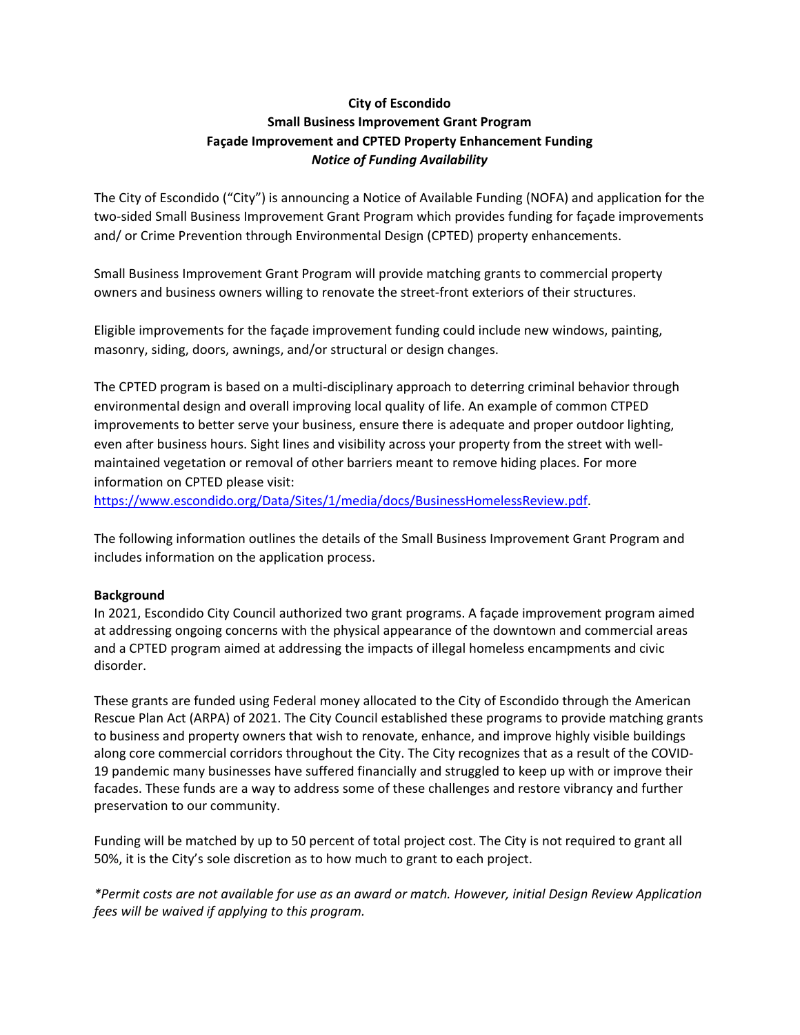## **City of Escondido Small Business Improvement Grant Program Façade Improvement and CPTED Property Enhancement Funding** *Notice of Funding Availability*

The City of Escondido ("City") is announcing a Notice of Available Funding (NOFA) and application for the two‐sided Small Business Improvement Grant Program which provides funding for façade improvements and/ or Crime Prevention through Environmental Design (CPTED) property enhancements.

Small Business Improvement Grant Program will provide matching grants to commercial property owners and business owners willing to renovate the street-front exteriors of their structures.

Eligible improvements for the façade improvement funding could include new windows, painting, masonry, siding, doors, awnings, and/or structural or design changes.

The CPTED program is based on a multi-disciplinary approach to deterring criminal behavior through environmental design and overall improving local quality of life. An example of common CTPED improvements to better serve your business, ensure there is adequate and proper outdoor lighting, even after business hours. Sight lines and visibility across your property from the street with wellmaintained vegetation or removal of other barriers meant to remove hiding places. For more information on CPTED please visit:

https://www.escondido.org/Data/Sites/1/media/docs/BusinessHomelessReview.pdf.

The following information outlines the details of the Small Business Improvement Grant Program and includes information on the application process.

### **Background**

In 2021, Escondido City Council authorized two grant programs. A façade improvement program aimed at addressing ongoing concerns with the physical appearance of the downtown and commercial areas and a CPTED program aimed at addressing the impacts of illegal homeless encampments and civic disorder.

These grants are funded using Federal money allocated to the City of Escondido through the American Rescue Plan Act (ARPA) of 2021. The City Council established these programs to provide matching grants to business and property owners that wish to renovate, enhance, and improve highly visible buildings along core commercial corridors throughout the City. The City recognizes that as a result of the COVID‐ 19 pandemic many businesses have suffered financially and struggled to keep up with or improve their facades. These funds are a way to address some of these challenges and restore vibrancy and further preservation to our community.

Funding will be matched by up to 50 percent of total project cost. The City is not required to grant all 50%, it is the City's sole discretion as to how much to grant to each project.

*\*Permit costs are not available for use as an award or match. However, initial Design Review Application fees will be waived if applying to this program.*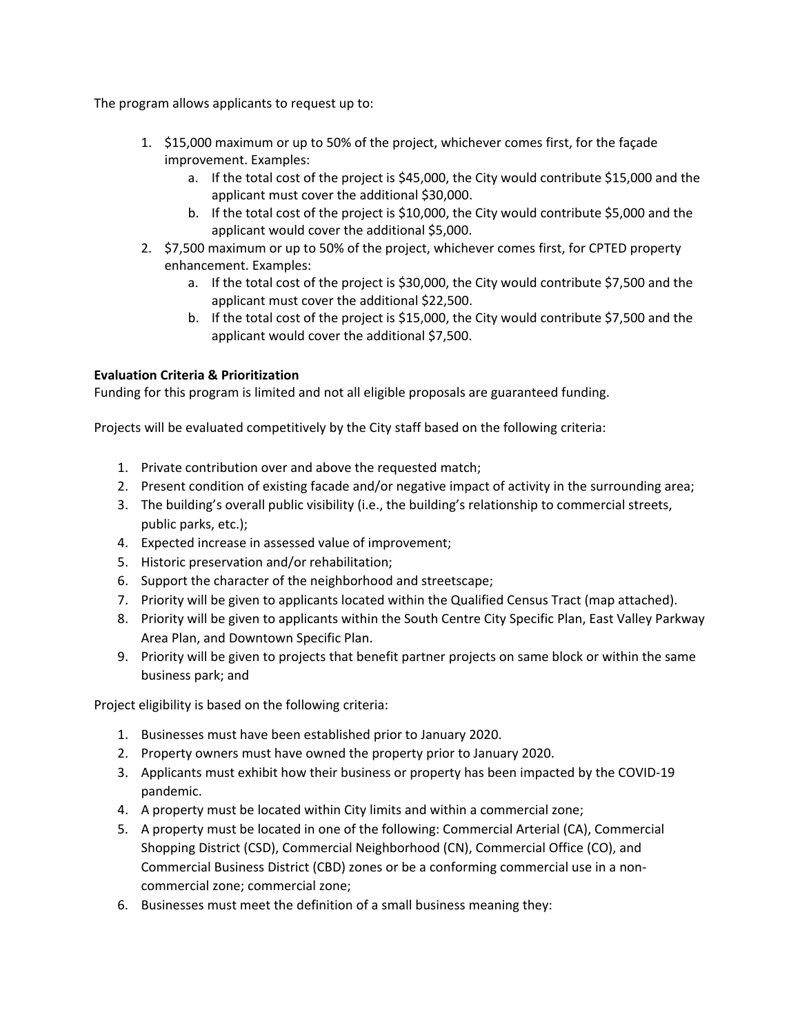The program allows applicants to request up to:

- 1. \$15,000 maximum or up to 50% of the project, whichever comes first, for the façade improvement. Examples:
	- a. If the total cost of the project is \$45,000, the City would contribute \$15,000 and the applicant must cover the additional \$30,000.
	- b. If the total cost of the project is \$10,000, the City would contribute \$5,000 and the applicant would cover the additional \$5,000.
- 2. \$7,500 maximum or up to 50% of the project, whichever comes first, for CPTED property enhancement. Examples:
	- a. If the total cost of the project is \$30,000, the City would contribute \$7,500 and the applicant must cover the additional \$22,500.
	- b. If the total cost of the project is \$15,000, the City would contribute \$7,500 and the applicant would cover the additional \$7,500.

### **Evaluation Criteria & Prioritization**

Funding for this program is limited and not all eligible proposals are guaranteed funding.

Projects will be evaluated competitively by the City staff based on the following criteria:

- 1. Private contribution over and above the requested match;
- 2. Present condition of existing facade and/or negative impact of activity in the surrounding area;
- 3. The building's overall public visibility (i.e., the building's relationship to commercial streets, public parks, etc.);
- 4. Expected increase in assessed value of improvement;
- 5. Historic preservation and/or rehabilitation;
- 6. Support the character of the neighborhood and streetscape;
- 7. Priority will be given to applicants located within the Qualified Census Tract (map attached).
- 8. Priority will be given to applicants within the South Centre City Specific Plan, East Valley Parkway Area Plan, and Downtown Specific Plan.
- 9. Priority will be given to projects that benefit partner projects on same block or within the same business park; and

Project eligibility is based on the following criteria:

- 1. Businesses must have been established prior to January 2020.
- 2. Property owners must have owned the property prior to January 2020.
- 3. Applicants must exhibit how their business or property has been impacted by the COVID‐19 pandemic.
- 4. A property must be located within City limits and within a commercial zone;
- 5. A property must be located in one of the following: Commercial Arterial (CA), Commercial Shopping District (CSD), Commercial Neighborhood (CN), Commercial Office (CO), and Commercial Business District (CBD) zones or be a conforming commercial use in a non‐ commercial zone; commercial zone;
- 6. Businesses must meet the definition of a small business meaning they: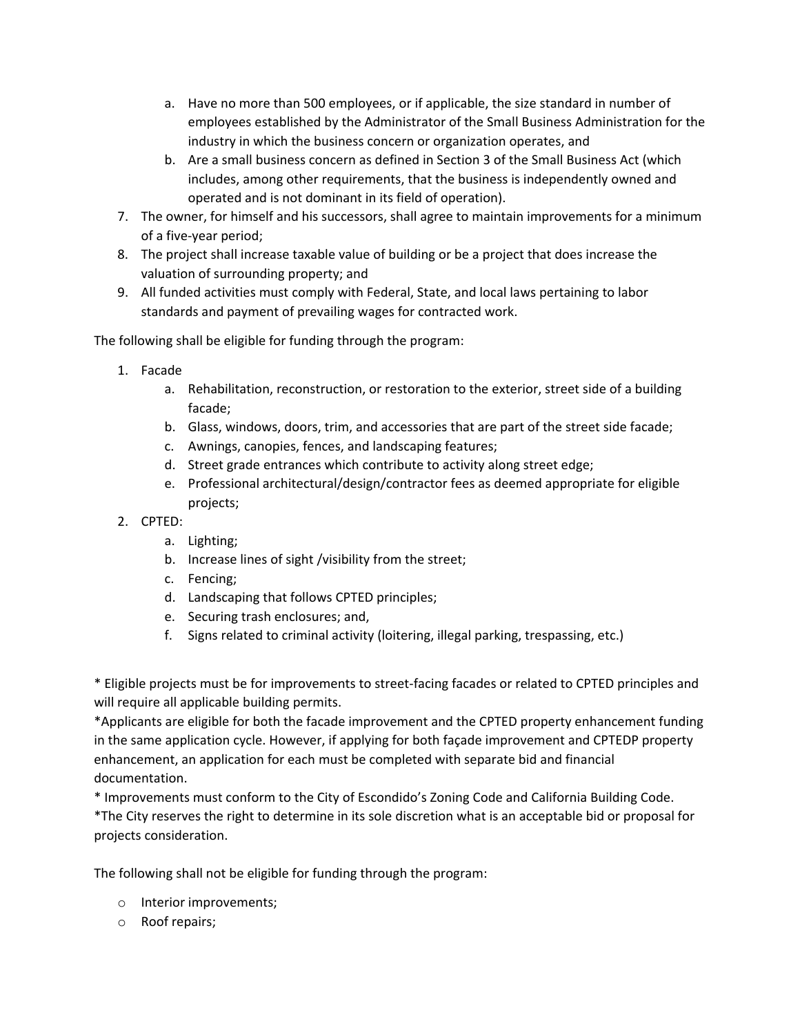- a. Have no more than 500 employees, or if applicable, the size standard in number of employees established by the Administrator of the Small Business Administration for the industry in which the business concern or organization operates, and
- b. Are a small business concern as defined in Section 3 of the Small Business Act (which includes, among other requirements, that the business is independently owned and operated and is not dominant in its field of operation).
- 7. The owner, for himself and his successors, shall agree to maintain improvements for a minimum of a five‐year period;
- 8. The project shall increase taxable value of building or be a project that does increase the valuation of surrounding property; and
- 9. All funded activities must comply with Federal, State, and local laws pertaining to labor standards and payment of prevailing wages for contracted work.

The following shall be eligible for funding through the program:

- 1. Facade
	- a. Rehabilitation, reconstruction, or restoration to the exterior, street side of a building facade;
	- b. Glass, windows, doors, trim, and accessories that are part of the street side facade;
	- c. Awnings, canopies, fences, and landscaping features;
	- d. Street grade entrances which contribute to activity along street edge;
	- e. Professional architectural/design/contractor fees as deemed appropriate for eligible projects;
- 2. CPTED:
	- a. Lighting;
	- b. Increase lines of sight /visibility from the street;
	- c. Fencing;
	- d. Landscaping that follows CPTED principles;
	- e. Securing trash enclosures; and,
	- f. Signs related to criminal activity (loitering, illegal parking, trespassing, etc.)

\* Eligible projects must be for improvements to street‐facing facades or related to CPTED principles and will require all applicable building permits.

\*Applicants are eligible for both the facade improvement and the CPTED property enhancement funding in the same application cycle. However, if applying for both façade improvement and CPTEDP property enhancement, an application for each must be completed with separate bid and financial documentation.

\* Improvements must conform to the City of Escondido's Zoning Code and California Building Code.

\*The City reserves the right to determine in its sole discretion what is an acceptable bid or proposal for projects consideration.

The following shall not be eligible for funding through the program:

- o Interior improvements;
- o Roof repairs;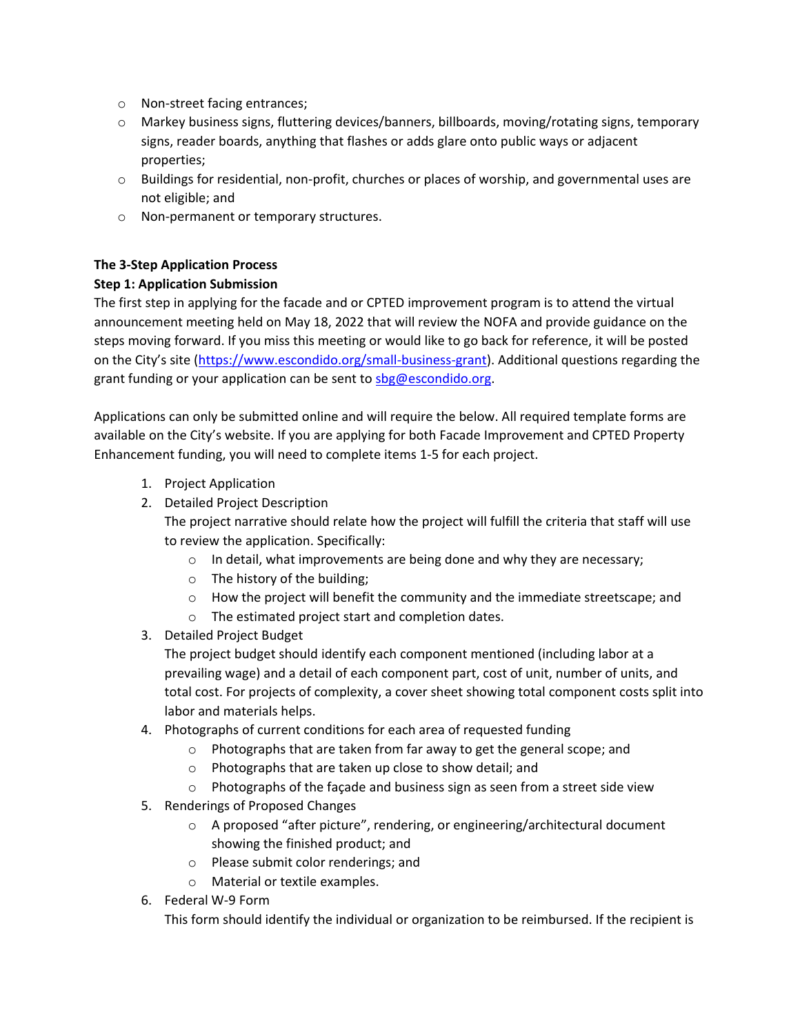- o Non‐street facing entrances;
- o Markey business signs, fluttering devices/banners, billboards, moving/rotating signs, temporary signs, reader boards, anything that flashes or adds glare onto public ways or adjacent properties;
- o Buildings for residential, non‐profit, churches or places of worship, and governmental uses are not eligible; and
- o Non‐permanent or temporary structures.

# **The 3‐Step Application Process**

## **Step 1: Application Submission**

The first step in applying for the facade and or CPTED improvement program is to attend the virtual announcement meeting held on May 18, 2022 that will review the NOFA and provide guidance on the steps moving forward. If you miss this meeting or would like to go back for reference, it will be posted on the City's site (https://www.escondido.org/small-business-grant). Additional questions regarding the grant funding or your application can be sent to sbg@escondido.org.

Applications can only be submitted online and will require the below. All required template forms are available on the City's website. If you are applying for both Facade Improvement and CPTED Property Enhancement funding, you will need to complete items 1‐5 for each project.

- 1. Project Application
- 2. Detailed Project Description

The project narrative should relate how the project will fulfill the criteria that staff will use to review the application. Specifically:

- o In detail, what improvements are being done and why they are necessary;
- o The history of the building;
- o How the project will benefit the community and the immediate streetscape; and
- o The estimated project start and completion dates.
- 3. Detailed Project Budget

The project budget should identify each component mentioned (including labor at a prevailing wage) and a detail of each component part, cost of unit, number of units, and total cost. For projects of complexity, a cover sheet showing total component costs split into labor and materials helps.

- 4. Photographs of current conditions for each area of requested funding
	- o Photographs that are taken from far away to get the general scope; and
	- o Photographs that are taken up close to show detail; and
	- o Photographs of the façade and business sign as seen from a street side view
- 5. Renderings of Proposed Changes
	- o A proposed "after picture", rendering, or engineering/architectural document showing the finished product; and
	- o Please submit color renderings; and
	- o Material or textile examples.
- 6. Federal W‐9 Form

This form should identify the individual or organization to be reimbursed. If the recipient is